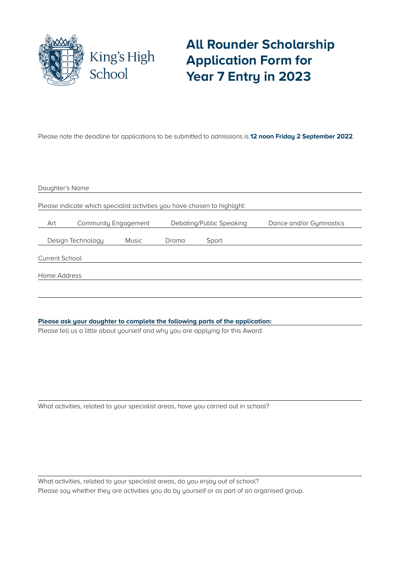

## **All Rounder Scholarship Application Form for Year 7 Entry in 2023**

Please note the deadline for applications to be submitted to admissions is **12 noon Friday 2 September 2022**.

| Daughter's Name                                                           |              |                          |       |                         |
|---------------------------------------------------------------------------|--------------|--------------------------|-------|-------------------------|
| Please indicate which specialist activities you have chosen to highlight: |              |                          |       |                         |
| Art<br>Community Engagement                                               |              | Debating/Public Speaking |       | Dance and/or Gymnastics |
| Design Technology                                                         | <b>Music</b> | Drama                    | Sport |                         |
| <b>Current School</b>                                                     |              |                          |       |                         |
| Home Address                                                              |              |                          |       |                         |
|                                                                           |              |                          |       |                         |

**Please ask your daughter to complete the following parts of the application:**

Please tell us a little about yourself and why you are applying for this Award.

What activities, related to your specialist areas, have you carried out in school?

What activities, related to your specialist areas, do you enjoy out of school? Please say whether they are activities you do by yourself or as part of an organised group.